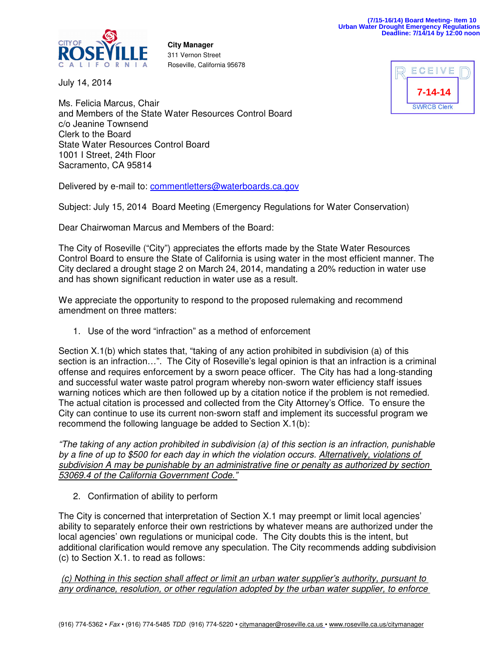

**City Manager**  311 Vernon Street Roseville, California 95678

July 14, 2014



Ms. Felicia Marcus, Chair and Members of the State Water Resources Control Board c/o Jeanine Townsend Clerk to the Board State Water Resources Control Board 1001 I Street, 24th Floor Sacramento, CA 95814

Delivered by e-mail to: commentletters@waterboards.ca.gov

Subject: July 15, 2014 Board Meeting (Emergency Regulations for Water Conservation)

Dear Chairwoman Marcus and Members of the Board:

The City of Roseville ("City") appreciates the efforts made by the State Water Resources Control Board to ensure the State of California is using water in the most efficient manner. The City declared a drought stage 2 on March 24, 2014, mandating a 20% reduction in water use and has shown significant reduction in water use as a result.

We appreciate the opportunity to respond to the proposed rulemaking and recommend amendment on three matters:

1. Use of the word "infraction" as a method of enforcement

Section X.1(b) which states that, "taking of any action prohibited in subdivision (a) of this section is an infraction…". The City of Roseville's legal opinion is that an infraction is a criminal offense and requires enforcement by a sworn peace officer. The City has had a long-standing and successful water waste patrol program whereby non-sworn water efficiency staff issues warning notices which are then followed up by a citation notice if the problem is not remedied. The actual citation is processed and collected from the City Attorney's Office. To ensure the City can continue to use its current non-sworn staff and implement its successful program we recommend the following language be added to Section X.1(b):

"The taking of any action prohibited in subdivision (a) of this section is an infraction, punishable by a fine of up to \$500 for each day in which the violation occurs. Alternatively, violations of subdivision A may be punishable by an administrative fine or penalty as authorized by section 53069.4 of the California Government Code."

2. Confirmation of ability to perform

The City is concerned that interpretation of Section X.1 may preempt or limit local agencies' ability to separately enforce their own restrictions by whatever means are authorized under the local agencies' own regulations or municipal code. The City doubts this is the intent, but additional clarification would remove any speculation. The City recommends adding subdivision (c) to Section X.1. to read as follows:

(c) Nothing in this section shall affect or limit an urban water supplier's authority, pursuant to any ordinance, resolution, or other regulation adopted by the urban water supplier, to enforce